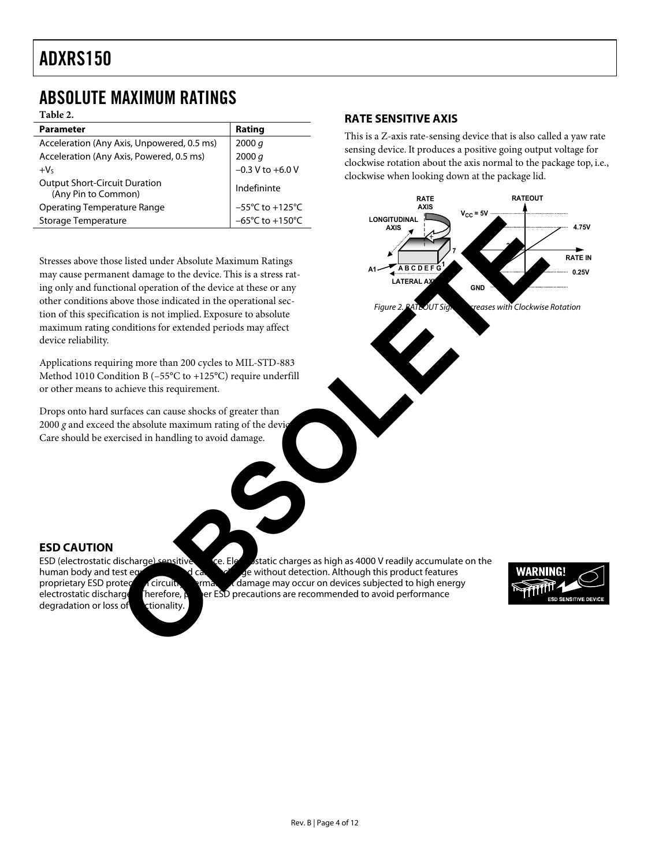### ABSOLUTE MAXIMUM RATINGS

**Table 2.** 

| <b>Parameter</b>                                            | Rating                               |
|-------------------------------------------------------------|--------------------------------------|
| Acceleration (Any Axis, Unpowered, 0.5 ms)                  | 2000 q                               |
| Acceleration (Any Axis, Powered, 0.5 ms)                    | 2000 q                               |
| $+V5$                                                       | $-0.3$ V to $+6.0$ V                 |
| <b>Output Short-Circuit Duration</b><br>(Any Pin to Common) | Indefininte                          |
| <b>Operating Temperature Range</b>                          | $-55^{\circ}$ C to +125 $^{\circ}$ C |
| Storage Temperature                                         | $-65^{\circ}$ C to $+150^{\circ}$ C  |

Stresses above those listed under Absolute Maximum Ratings may cause permanent damage to the device. This is a stress rating only and functional operation of the device at these or any other conditions above those indicated in the operational section of this specification is not implied. Exposure to absolute maximum rating conditions for extended periods may affect device reliability.

Applications requiring more than 200 cycles to MIL-STD-883 Method 1010 Condition B (–55°C to +125°C) require underfill or other means to achieve this requirement.

Drops onto hard surfaces can cause shocks of greater than 2000 g and exceed the absolute maximum rating of the device Care should be exercised in handling to avoid damage.

#### **RATE SENSITIVE AXIS**

This is a Z-axis rate-sensing device that is also called a yaw rate sensing device. It produces a positive going output voltage for clockwise rotation about the axis normal to the package top, i.e., clockwise when looking down at the package lid.





degradation or loss of ctionality.

ESD (electrostatic discharge) sensitive device. Electrostatic charges as high as 4000 V readily accumulate on the human body and test equilibrities as device of the device of cancel very devit bout detection. Although this human body and test equipment and can discharge without detection. Although this product features proprietary ESD protection. proprietary ESD protection circuits, permanent damage may occur on devices subjected to high energy electrostatic discharge therefore, per ESD precautions are recommended to avoid performance er  $ESD$  precautions are recommended to avoid performance

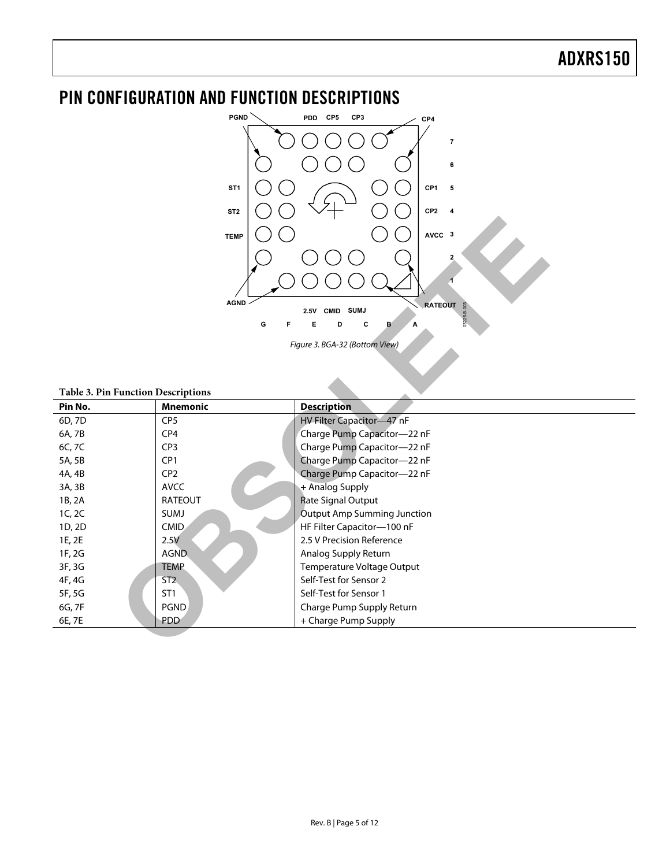## PIN CONFIGURATION AND FUNCTION DESCRIPTIONS



| AVCC 3<br><b>TEMP</b><br>2<br><b>AGND</b><br><b>RATEOUT</b><br>CMID<br><b>SUMJ</b><br>2.5V<br>G<br>F.<br>E<br>C<br>D<br>в<br>A<br>Figure 3. BGA-32 (Bottom View) |                 |                                    |  |  |  |
|------------------------------------------------------------------------------------------------------------------------------------------------------------------|-----------------|------------------------------------|--|--|--|
| <b>Table 3. Pin Function Descriptions</b><br>Pin No.                                                                                                             | <b>Mnemonic</b> | <b>Description</b>                 |  |  |  |
| 6D, 7D                                                                                                                                                           | CP <sub>5</sub> | HV Filter Capacitor-47 nF          |  |  |  |
| 6A, 7B                                                                                                                                                           | CP <sub>4</sub> | Charge Pump Capacitor-22 nF        |  |  |  |
| 6C, 7C                                                                                                                                                           | CP <sub>3</sub> | Charge Pump Capacitor-22 nF        |  |  |  |
| 5A, 5B                                                                                                                                                           | CP1             | Charge Pump Capacitor-22 nF        |  |  |  |
| 4A, 4B                                                                                                                                                           | CP <sub>2</sub> | Charge Pump Capacitor-22 nF        |  |  |  |
| 3A, 3B                                                                                                                                                           | <b>AVCC</b>     | + Analog Supply                    |  |  |  |
| 1B, 2A                                                                                                                                                           | <b>RATEOUT</b>  | <b>Rate Signal Output</b>          |  |  |  |
| 1C, 2C                                                                                                                                                           | SUMJ            | <b>Output Amp Summing Junction</b> |  |  |  |
| 1D, 2D                                                                                                                                                           | <b>CMID</b>     | HF Filter Capacitor-100 nF         |  |  |  |
| 1E, 2E                                                                                                                                                           | 2.5V            | 2.5 V Precision Reference          |  |  |  |
| 1F, 2G                                                                                                                                                           | <b>AGND</b>     | Analog Supply Return               |  |  |  |
| 3F, 3G                                                                                                                                                           | <b>TEMP</b>     | Temperature Voltage Output         |  |  |  |
| 4F, 4G                                                                                                                                                           | ST <sub>2</sub> | Self-Test for Sensor 2             |  |  |  |
| 5F, 5G                                                                                                                                                           | ST <sub>1</sub> | Self-Test for Sensor 1             |  |  |  |
| 6G, 7F                                                                                                                                                           | <b>PGND</b>     | Charge Pump Supply Return          |  |  |  |
| 6E, 7E                                                                                                                                                           | PDD             | + Charge Pump Supply               |  |  |  |
|                                                                                                                                                                  |                 |                                    |  |  |  |

#### **Table 3. Pin Function Descriptions**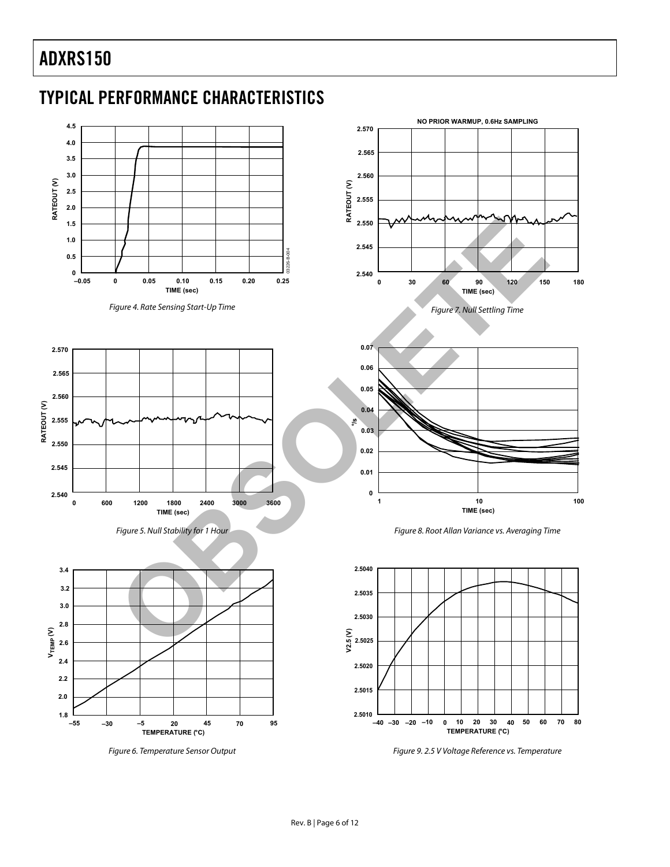# TYPICAL PERFORMANCE CHARACTERISTICS



Figure 4. Rate Sensing Start-Up Time



Figure 5. Null Stability for 1 Hour



Figure 6. Temperature Sensor Output









Figure 9. 2.5 V Voltage Reference vs. Temperature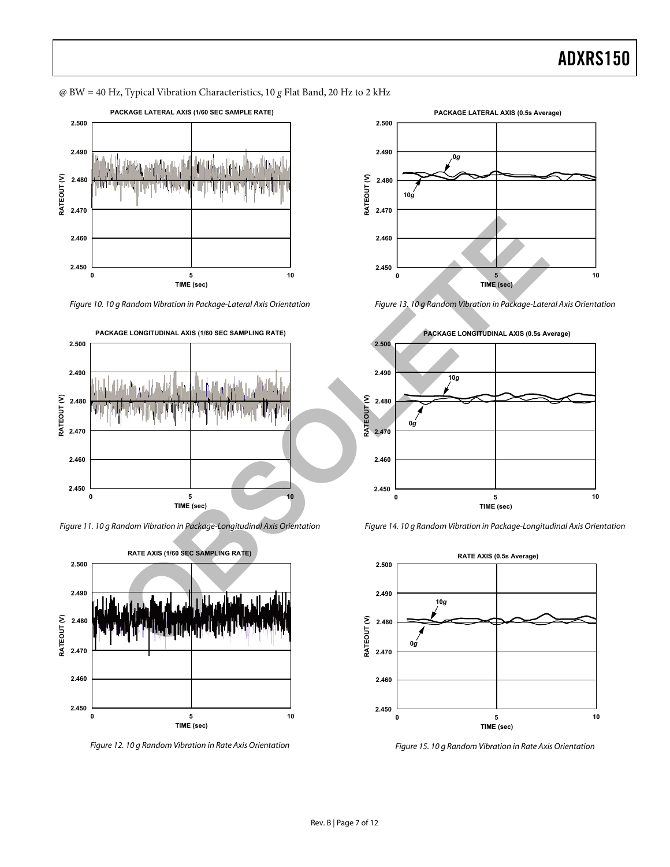@ BW = 40 Hz, Typical Vibration Characteristics, 10 *g* Flat Band, 20 Hz to 2 kHz

<span id="page-6-0"></span>

Figure 10. 10 g Random Vibration in Package-Lateral Axis Orientation



Figure 11. 10 g Random Vibration in Package-Longitudinal Axis Orientation



Figure 12. 10 g Random Vibration in Rate Axis Orientation



Figure 13. 10 g Random Vibration in Package-Lateral Axis Orientation





<span id="page-6-1"></span>

Figure 15. 10 g Random Vibration in Rate Axis Orientation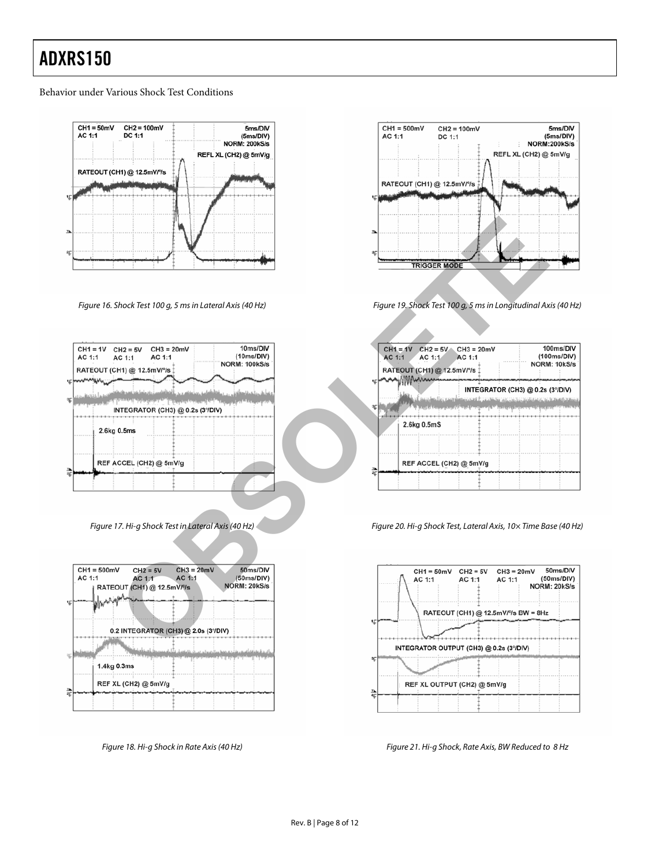#### Behavior under Various Shock Test Conditions



Figure 16. Shock Test 100 g, 5 ms in Lateral Axis (40 Hz)

| $CH1 = 1V$<br>AC 1:1 | $CH2 = 5V$<br>AC 1:1     | $CH3 = 20mV$<br>AC 1:1                                                     | 10ms/DIV<br>(10ms/DIV) |
|----------------------|--------------------------|----------------------------------------------------------------------------|------------------------|
| E                    | RATEOUT (CH1) @ 12.5mV/% |                                                                            | <b>NORM: 100kS/s</b>   |
| Œ                    |                          | للمنازلة والمعاقبتان بمناقب والمراجلات<br>INTEGRATOR (CH3) @ 0.2s (3°/DIV) |                        |
|                      | 2.6kg 0.5ms              |                                                                            |                        |
| <b>Ik</b>            |                          | REF ACCEL (CH2) @ 5mV/g                                                    |                        |
| $\overline{2}$       |                          |                                                                            |                        |

Figure 17. Hi-g Shock Test in Lateral Axis (40 Hz)



Figure 18. Hi-g Shock in Rate Axis (40 Hz)



Figure 19. Shock Test 100 g, 5 ms in Longitudinal Axis (40 Hz)

|                                                                                                                                | <b>TRIGGER MODE</b>                                                                                                                                             |
|--------------------------------------------------------------------------------------------------------------------------------|-----------------------------------------------------------------------------------------------------------------------------------------------------------------|
| Shock Test 100 q, 5 ms in Lateral Axis (40 Hz)                                                                                 | Figure 19. Shock Test 100 g, 5 ms in Longitudinal Axis (40 Hz)                                                                                                  |
| 10ms/DIV<br>$CH3 = 20mV$<br>$CH2 = 5V$<br>(10ms/DIV)<br>AC 1:1<br><b>AC 1:1</b><br><b>NORM: 100kS/s</b><br>:H1) @ 12.5mV/º/s ‡ | 100ms/DIV<br>$CH1 = 1V$ CH2 = 5V<br>$CH3 = 20mV$<br>(100ms/DIV)<br>AC 1:1<br>AC 1:1<br>AC 1:1<br>NORM: 10kS/s<br>RATEOUT (CH1) @ 12.5mV/% 1<br><b>MMAxxxxxx</b> |
| كانفراج ويتوا واستعامته والمتعاطفيان جي ليعتبده                                                                                | INTEGRATOR (CH3) @ 0.2s (3°/DIV)<br>i ingga kadilan pagpalainnya santity ng mining yang material ng Kalimerang ng Ingganit pakeuna                              |
| NTEGRATOR (CH3) @ 0.2s (3°/DIV)                                                                                                | . <del>.</del> .                                                                                                                                                |
| 0.5 <sub>ms</sub>                                                                                                              | 2.6kg 0.5mS                                                                                                                                                     |
| (CCEL (CH2) @ 5mV/g                                                                                                            | REF ACCEL (CH2) @ 5mV/g                                                                                                                                         |
| 17. Hi-g Shock Test in Lateral Axis (40 Hz)                                                                                    | Figure 20. Hi-g Shock Test, Lateral Axis, 10x Time Base (40 Hz)                                                                                                 |
| V<br>$CH3 = 20mV$<br>50ms/DIV<br>$CH2 = 5V$<br>AC 1:1<br>AC 1:1<br>(50ms/DIV)<br>NORM: 20kS/s<br>OUT (CH1) @ 12.5mV/%          | 50ms/DIV<br>$CH1 = 50mV$ CH2 = 5V<br>$CH3 = 20mV$<br>(50ms/DIV)<br>AC 1:1<br>AC 1:1<br>AC 1:1<br>NORM: 20kS/s                                                   |
|                                                                                                                                | RATEOUT (CH1) @ 12.5mV/% BW = 8Hz                                                                                                                               |
| 2 INTEGRATOR (CH3) @ 2.0s (3°/DIV)                                                                                             |                                                                                                                                                                 |
| بنا احتلط<br>17                                                                                                                | INTEGRATOR OUTPUT (CH3) @ 0.2s (3°/DIV)                                                                                                                         |

Figure 20. Hi-g Shock Test, Lateral Axis, 10× Time Base (40 Hz)



Figure 21. Hi-g Shock, Rate Axis, BW Reduced to 8 Hz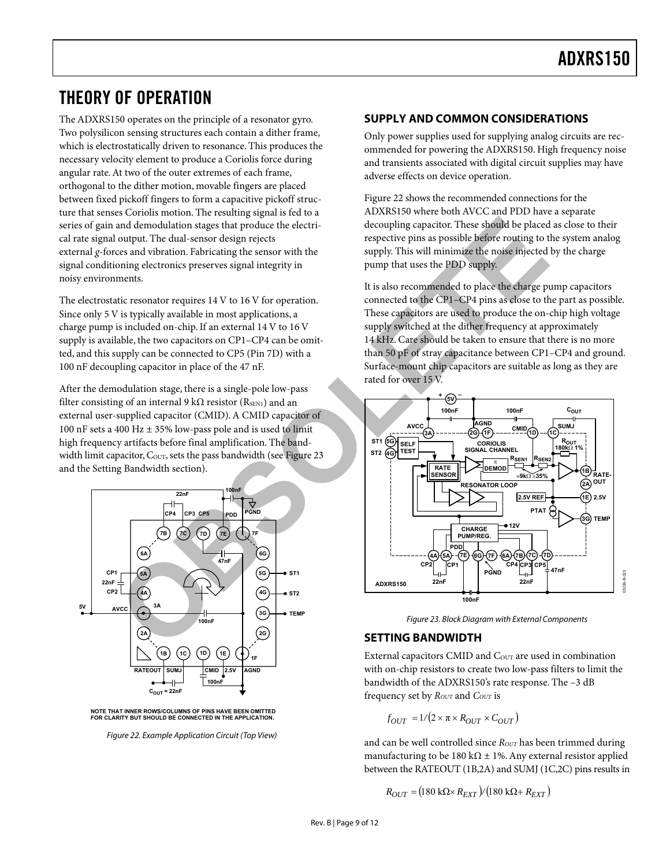### THEORY OF OPERATION

The ADXRS150 operates on the principle of a resonator gyro. Two polysilicon sensing structures each contain a dither frame, which is electrostatically driven to resonance. This produces the necessary velocity element to produce a Coriolis force during angular rate. At two of the outer extremes of each frame, orthogonal to the dither motion, movable fingers are placed between fixed pickoff fingers to form a capacitive pickoff structure that senses Coriolis motion. The resulting signal is fed to a series of gain and demodulation stages that produce the electrical rate signal output. The dual-sensor design rejects external *g*-forces and vibration. Fabricating the sensor with the signal conditioning electronics preserves signal integrity in noisy environments.

The electrostatic resonator requires 14 V to 16 V for operation. Since only 5 V is typically available in most applications, a charge pump is included on-chip. If an external 14 V to 16 V supply is available, the two capacitors on CP1–CP4 can be omitted, and this supply can be connected to CP5 (Pin 7D) with a 100 nF decoupling capacitor in place of the 47 nF.

After the demodulation stage, there is a single-pole low-pass filter consisting of an internal 9 k $\Omega$  resistor (R<sub>SEN1</sub>) and an external user-supplied capacitor (CMID). A CMID capacitor of 100 nF sets a 400 Hz ± 35% low-pass pole and is used to limit high frequency artifacts before final amplification. The bandwidth limit capacitor, Cour, sets the pass bandwidth (see Figure 23 and the Setting Bandwidth section).

<span id="page-8-1"></span>



Figure 22. Example Application Circuit (Top View)

#### **SUPPLY AND COMMON CONSIDERATIONS**

Only power supplies used for supplying analog circuits are recommended for powering the ADXRS150. High frequency noise and transients associated with digital circuit supplies may have adverse effects on device operation.

[Figure 22 s](#page-8-1)hows the recommended connections for the ADXRS150 where both AVCC and PDD have a separate decoupling capacitor. These should be placed as close to their respective pins as possible before routing to the system analog supply. This will minimize the noise injected by the charge pump that uses the PDD supply.

<span id="page-8-0"></span>It is also recommended to place the charge pump capacitors connected to the CP1–CP4 pins as close to the part as possible. These capacitors are used to produce the on-chip high voltage supply switched at the dither frequency at approximately 14 kHz. Care should be taken to ensure that there is no more than 50 pF of stray capacitance between CP1–CP4 and ground. Surface-mount chip capacitors are suitable as long as they are rated for over 15 V.



Figure 23. Block Diagram with External Components

#### **SETTING BANDWIDTH**

External capacitors CMID and  $C_{\text{OUT}}$  are used in combination with on-chip resistors to create two low-pass filters to limit the bandwidth of the ADXRS150's rate response. The –3 dB frequency set by  $R_{OUT}$  and  $C_{OUT}$  is

$$
f_{OUT} = 1/(2 \times \pi \times R_{OUT} \times C_{OUT})
$$

and can be well controlled since *R*<sub>OUT</sub> has been trimmed during manufacturing to be 180 k $\Omega$  ± 1%. Any external resistor applied between the RATEOUT (1B,2A) and SUMJ (1C,2C) pins results in

$$
R_{OUT} = (180 \text{ k}\Omega \times R_{EXT})/(180 \text{ k}\Omega + R_{EXT})
$$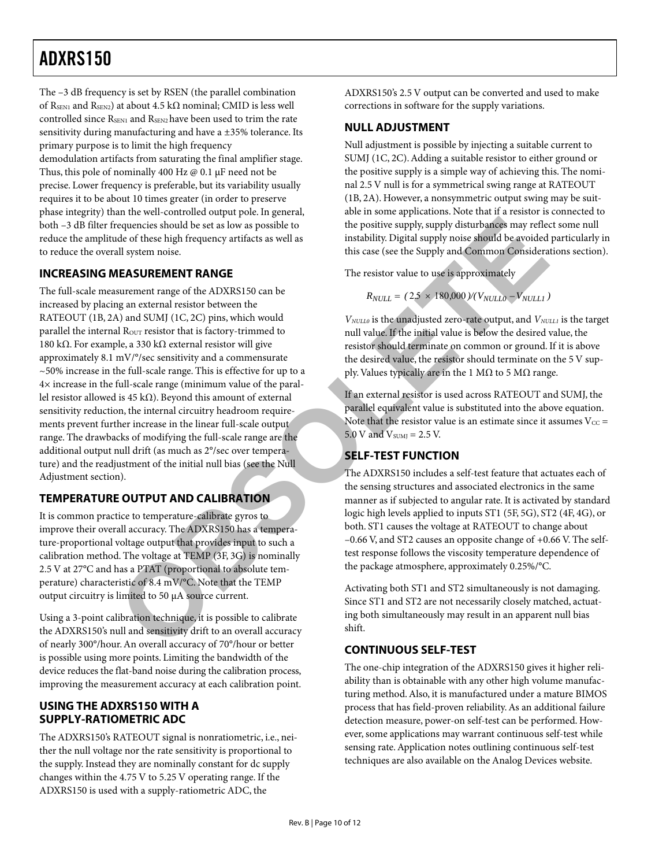The –3 dB frequency is set by RSEN (the parallel combination of RSEN1 and RSEN2) at about 4.5 k $\Omega$  nominal; CMID is less well controlled since R<sub>SEN1</sub> and R<sub>SEN2</sub> have been used to trim the rate sensitivity during manufacturing and have a ±35% tolerance. Its primary purpose is to limit the high frequency

demodulation artifacts from saturating the final amplifier stage. Thus, this pole of nominally 400 Hz @ 0.1 µF need not be precise. Lower frequency is preferable, but its variability usually requires it to be about 10 times greater (in order to preserve phase integrity) than the well-controlled output pole. In general, both –3 dB filter frequencies should be set as low as possible to reduce the amplitude of these high frequency artifacts as well as to reduce the overall system noise.

#### **INCREASING MEASUREMENT RANGE**

The full-scale measurement range of the ADXRS150 can be increased by placing an external resistor between the RATEOUT (1B, 2A) and SUMJ (1C, 2C) pins, which would parallel the internal R<sub>OUT</sub> resistor that is factory-trimmed to 180 kΩ. For example, a 330 kΩ external resistor will give approximately 8.1 mV/°/sec sensitivity and a commensurate ~50% increase in the full-scale range. This is effective for up to a 4× increase in the full-scale range (minimum value of the parallel resistor allowed is 45 kΩ). Beyond this amount of external sensitivity reduction, the internal circuitry headroom requirements prevent further increase in the linear full-scale output range. The drawbacks of modifying the full-scale range are the additional output null drift (as much as 2°/sec over temperature) and the readjustment of the initial null bias (see the Null Adjustment section). requencies should be set as low as possible to<br>
del of the soliting policy supply disturbances may reflect the highlines by the solitical signal signal signal signal signal signal signal signal signal signal signal signal

#### **TEMPERATURE OUTPUT AND CALIBRATION**

It is common practice to temperature-calibrate gyros to improve their overall accuracy. The ADXRS150 has a temperature-proportional voltage output that provides input to such a calibration method. The voltage at TEMP (3F, 3G) is nominally 2.5 V at 27°C and has a PTAT (proportional to absolute temperature) characteristic of 8.4 mV/°C. Note that the TEMP output circuitry is limited to 50 µA source current.

Using a 3-point calibration technique, it is possible to calibrate the ADXRS150's null and sensitivity drift to an overall accuracy of nearly 300°/hour. An overall accuracy of 70°/hour or better is possible using more points. Limiting the bandwidth of the device reduces the flat-band noise during the calibration process, improving the measurement accuracy at each calibration point.

#### **USING THE ADXRS150 WITH A SUPPLY-RATIOMETRIC ADC**

The ADXRS150's RATEOUT signal is nonratiometric, i.e., neither the null voltage nor the rate sensitivity is proportional to the supply. Instead they are nominally constant for dc supply changes within the 4.75 V to 5.25 V operating range. If the ADXRS150 is used with a supply-ratiometric ADC, the

ADXRS150's 2.5 V output can be converted and used to make corrections in software for the supply variations.

#### **NULL ADJUSTMENT**

Null adjustment is possible by injecting a suitable current to SUMJ (1C, 2C). Adding a suitable resistor to either ground or the positive supply is a simple way of achieving this. The nominal 2.5 V null is for a symmetrical swing range at RATEOUT (1B, 2A). However, a nonsymmetric output swing may be suitable in some applications. Note that if a resistor is connected to the positive supply, supply disturbances may reflect some null instability. Digital supply noise should be avoided particularly in this case (see the Supply and Common Considerations section).

The resistor value to use is approximately

$$
R_{NULL} = (2.5 \times 180,000)/(V_{NULL0} - V_{NULL1})
$$

*V<sub>NULL0</sub>* is the unadjusted zero-rate output, and *V<sub>NULL1</sub>* is the target null value. If the initial value is below the desired value, the resistor should terminate on common or ground. If it is above the desired value, the resistor should terminate on the 5 V supply. Values typically are in the 1 MΩ to 5 MΩ range.

If an external resistor is used across RATEOUT and SUMJ, the parallel equivalent value is substituted into the above equation. Note that the resistor value is an estimate since it assumes  $V_{CC}$  = 5.0 V and  $V<sub>SUMJ</sub> = 2.5 V$ .

#### **SELF-TEST FUNCTION**

The ADXRS150 includes a self-test feature that actuates each of the sensing structures and associated electronics in the same manner as if subjected to angular rate. It is activated by standard logic high levels applied to inputs ST1 (5F, 5G), ST2 (4F, 4G), or both. ST1 causes the voltage at RATEOUT to change about –0.66 V, and ST2 causes an opposite change of +0.66 V. The selftest response follows the viscosity temperature dependence of the package atmosphere, approximately 0.25%/°C.

Activating both ST1 and ST2 simultaneously is not damaging. Since ST1 and ST2 are not necessarily closely matched, actuating both simultaneously may result in an apparent null bias shift.

#### **CONTINUOUS SELF-TEST**

The one-chip integration of the ADXRS150 gives it higher reliability than is obtainable with any other high volume manufacturing method. Also, it is manufactured under a mature BIMOS process that has field-proven reliability. As an additional failure detection measure, power-on self-test can be performed. However, some applications may warrant continuous self-test while sensing rate. Application notes outlining continuous self-test techniques are also available on the Analog Devices website.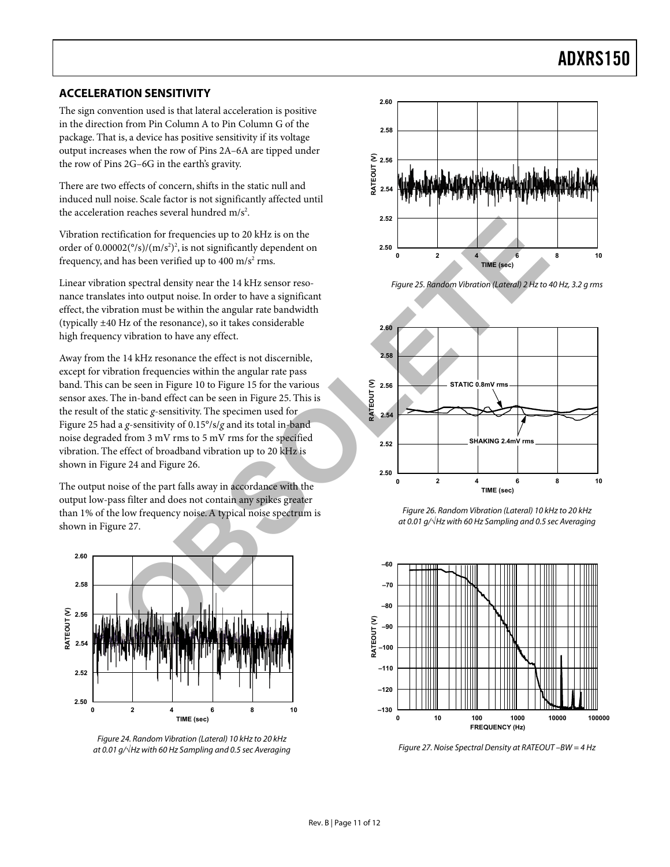#### **ACCELERATION SENSITIVITY**

The sign convention used is that lateral acceleration is positive in the direction from Pin Column A to Pin Column G of the package. That is, a device has positive sensitivity if its voltage output increases when the row of Pins 2A–6A are tipped under the row of Pins 2G–6G in the earth's gravity.

There are two effects of concern, shifts in the static null and induced null noise. Scale factor is not significantly affected until the acceleration reaches several hundred  $m/s<sup>2</sup>$ .

Vibration rectification for frequencies up to 20 kHz is on the order of  $0.00002(^{\circ}/s)/(m/s^2)^2$ , is not significantly dependent on frequency, and has been verified up to  $400 \text{ m/s}^2 \text{ rms}$ .

Linear vibration spectral density near the 14 kHz sensor resonance translates into output noise. In order to have a significant effect, the vibration must be within the angular rate bandwidth (typically ±40 Hz of the resonance), so it takes considerable high frequency vibration to have any effect.

Away from the 14 kHz resonance the effect is not discernible, except for vibration frequencies within the angular rate pass band. This can be seen in Figure 10 to Figure 15 for the various sensor axes. The in-band effect can be seen in Figure 25. This is the result of the static *g*-sensitivity. The specimen used for [Figure 25 h](#page-10-0)ad a *g*-sensitivity of 0.15°/s/*g* and its total in-band noise degraded from 3 mV rms to 5 mV rms for the specified vibration. The effect of broadband vibration up to 20 kHz is shown in Figure 24 and Figure 26.

The output noise of the part falls away in accordance with the output low-pass filter and does not contain any spikes greater than 1% of the low frequency noise. A typical noise spectrum is shown in Figure 27.

<span id="page-10-1"></span>

Figure 24. Random Vibration (Lateral) 10 kHz to 20 kHz at 0.01 g/√Hz with 60 Hz Sampling and 0.5 sec Averaging

<span id="page-10-0"></span>

<span id="page-10-2"></span>Figure 25. Random Vibration (Lateral) 2 Hz to 40 Hz, 3.2 g rms



Figure 26. Random Vibration (Lateral) 10 kHz to 20 kHz at 0.01 g/√Hz with 60 Hz Sampling and 0.5 sec Averaging

<span id="page-10-3"></span>

Figure 27. Noise Spectral Density at RATEOUT –BW = 4 Hz